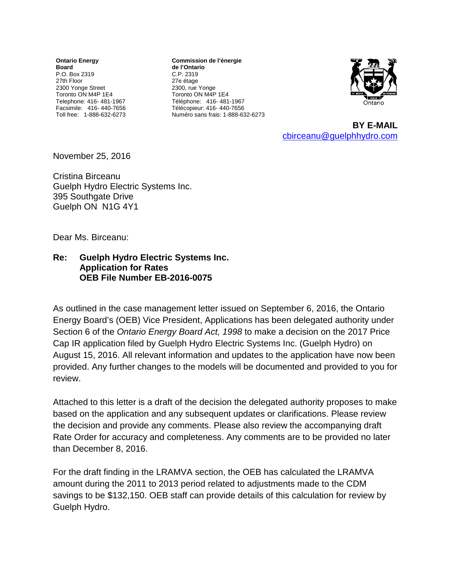**Ontario Energy Board** P.O. Box 2319 27th Floor 2300 Yonge Street Toronto ON M4P 1E4 Telephone: 416- 481-1967 Facsimile: 416- 440-7656 Toll free: 1-888-632-6273

**Commission de l'énergie de l'Ontario** C.P. 2319 27e étage 2300, rue Yonge Toronto ON M4P 1E4 Téléphone: 416- 481-1967 Télécopieur: 416- 440-7656 Numéro sans frais: 1-888-632-6273



**BY E-MAIL**  [cbirceanu@guelphhydro.com](mailto:cbirceanu@guelphhydro.com)

November 25, 2016

Cristina Birceanu Guelph Hydro Electric Systems Inc. 395 Southgate Drive Guelph ON N1G 4Y1

Dear Ms. Birceanu:

## **Re: Guelph Hydro Electric Systems Inc. Application for Rates OEB File Number EB-2016-0075**

As outlined in the case management letter issued on September 6, 2016, the Ontario Energy Board's (OEB) Vice President, Applications has been delegated authority under Section 6 of the *Ontario Energy Board Act, 1998* to make a decision on the 2017 Price Cap IR application filed by Guelph Hydro Electric Systems Inc. (Guelph Hydro) on August 15, 2016. All relevant information and updates to the application have now been provided. Any further changes to the models will be documented and provided to you for review.

Attached to this letter is a draft of the decision the delegated authority proposes to make based on the application and any subsequent updates or clarifications. Please review the decision and provide any comments. Please also review the accompanying draft Rate Order for accuracy and completeness. Any comments are to be provided no later than December 8, 2016.

For the draft finding in the LRAMVA section, the OEB has calculated the LRAMVA amount during the 2011 to 2013 period related to adjustments made to the CDM savings to be \$132,150. OEB staff can provide details of this calculation for review by Guelph Hydro.